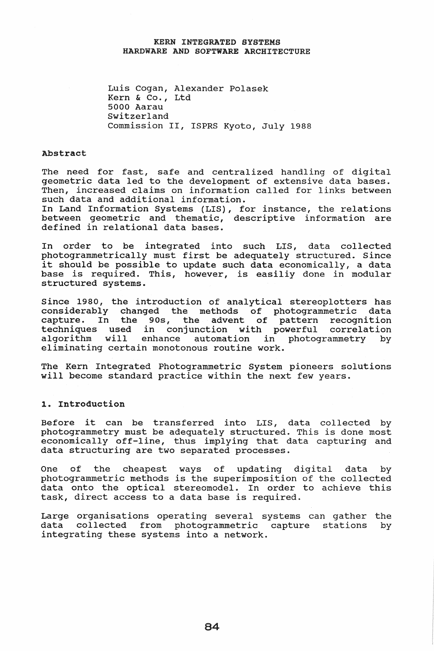## KERN INTEGRATED SYSTEMS HARDWARE AND SOFTWARE ARCHITECTURE

Luis Cogan, Alexander Polasek Kern & Co., Ltd 5000 Aarau switzerland Commission II, ISPRS Kyoto, July 1988

#### Abstract

The need for fast, safe and centralized handling of digital geometric data led to the development of extensive data bases. Then, increased claims on information called for links between such data and additional information.

In Land Information Systems (LIS), for instance, the relations between geometric and thematic, descriptive information are defined in relational data bases.

In order to be integrated into such LIS, data collected photogrammetrically must first be adequately structured. Since it should be possible to update such data economically, a data base is required. This, however, is easiliy done in modular structured systems.

since 1980, the introduction of analytical stereoplotters has considerably changed the methods of photogrammetric data capture. In the 90s, the advent of pattern recognition techniques used in conjunction with powerful correlation<br>algorithm will enhance automation in photogrammetry by enhance automation in photogrammetry by eliminating certain monotonous routine work.

The Kern Integrated Photogrammetric System pioneers solutions will become standard practice within the next few years.

#### 1. Introduction

Before it can be transferred into LIS, data collected by photogrammetry must be adequately structured. This is done most economically off-line, thus implying that data capturing and data structuring are two separated processes.

One of the cheapest ways of updating digital data by photogrammetric methods is the superimposition of the collected data onto the optical stereomodel.. In order to achieve this task, direct access to a data base is required.

Large organisations operating several systems can gather the<br>data collected from photogrammetric capture stations by data collected from photogrammetric capture stations by integrating these systems into a network.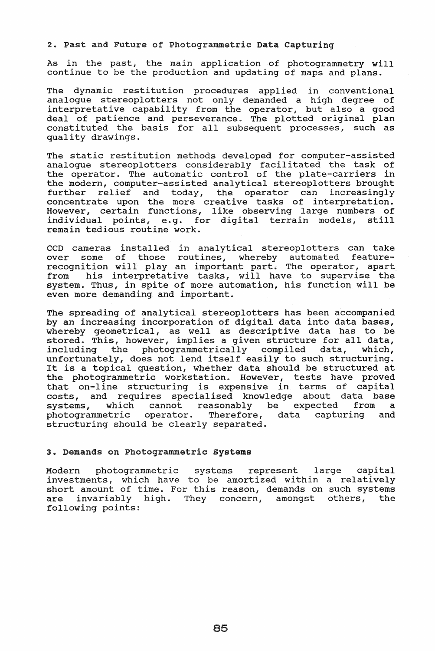### 2. Past and Future of Photogrammetric Data capturing

As in the past, the main application of photogrammetry will continue to be the production and updating of maps and plans.

The dynamic restitution procedures applied in conventional analogue stereoplotters not only demanded a high degree of interpretative capability from the operator, but also a good deal of patience and perseverance. The plotted original plan constituted the basis for all subsequent processes, such as quality drawings.

The static restitution methods developed for computer-assisted analogue stereoplotters considerably facilitated the task of the operator. The automatic control of the plate-carriers in the modern, computer-assisted analytical stereoplotters brought further relief and today, the operator can increasingly concentrate upon the more creative tasks of interpretation. However, certain functions, like observing large numbers of individual points, e.g. for digital terrain models, remain tedious routine work.

CCD cameras installed in analytical stereoplotters can take over some of those routines, whereby automated featurerecognition will play an important part. The operator, apart from his interpretative tasks, will have to supervise the system. Thus, in spite of more automation, his function will be even more demanding and important.

The spreading of analytical stereoplotters has been accompanied by an increasing incorporation of digital data into data bases, whereby geometrical, as well as descriptive data has to be stored. This, however, implies a given structure for all data,<br>including the photogrammetrically compiled data, which, photogrammetrically compiled unfortunately, does not lend itself easily to such structuring. unfortunately, does not fend fiseit easily to such structuring.<br>It is a topical question, whether data should be structured at the photogrammetric workstation.. However, tests have proved that on-line structuring is expensive in terms of capital costs, and requires specialised knowledge about data base systems, which cannot reasonably be expected from a photogrammetric operator. Therefore, data capturing and photogrammetric operator. Therefore, structuring should be clearly separated.

# 3. Demands on Photogrammetric systems

Modern photogrammetric systems represent large capital investments, which have to be amortized within a relatively investments, which have to be amortized wrenin a relativery are invariably high. They concern, amongst others, the following points: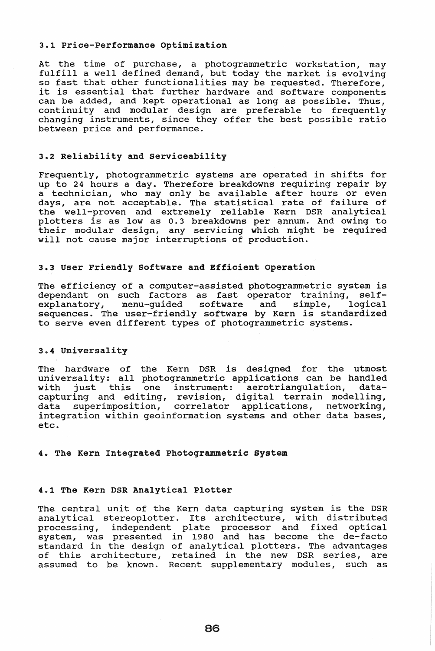### 3.1 Price-Performance optimization

At the time of purchase, a photogrammetric workstation, may fulfill a well defined demand, but today the market is evolving so fast that other functionalities may be requested. Therefore, so rast that other runctionalities may be requested. Therefore,<br>it is essential that further hardware and software components can be added, and kept operational as long as possible. Thus, continuity and modular design are preferable to frequently changing instruments, since they offer the best possible ratio between price and performance.

# 3.2 Reliability and serviceability

Frequently, photogrammetric systems are operated in shifts for up to 24 hours a day. Therefore breakdowns requiring repair by a technician, who may only be available after hours or even days, are not acceptable. The statistical rate of failure of the well-proven and extremely reliable Kern DSR analytical plotters is as low as 0.3 breakdowns per annum. And owing to their modular design, any servicing which might be required will not cause major interruptions of production.

#### 3.3 User Friendly Software and Efficient operation

The efficiency of a computer-assisted photogrammetric system is dependant on such factors as fast operator training, self-<br>explanatory, menu-guided software and simple, logical explanatory, menu-guided software and sequences. The user-friendly software by Kern is standardized to serve even different types of photogrammetric systems.

# 3.4 Universality

The hardware of the Kern DSR is designed for the utmost universality: all photogrammetric applications can be handled<br>with just this one instrument: aerotriangulation, datawith just this one instrument: aerotriangulation, capturing and editing, revision, digital terrain modelling, data superimposition, correlator applications, networking, integration within geoinformation systems and other data bases, etc ..

#### 4. The Kern Integrated Photogrammetric System

### 4.1 The Kern DSR Analytical Plotter

The central unit of the Kern data capturing system is the DSR analytical stereoplotter. Its architecture, with distributed processing, independent plate processor and fixed optical system, was presented in 1980 and has become the de-facto standard in the design of analytical plotters. The advantages of this architecture, retained in the new DSR series, are assumed to be known.. Recent supplementary modules, such as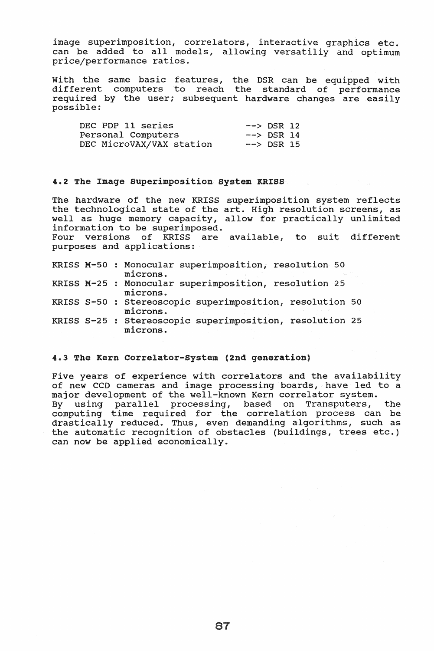image superimposition, correlators, interactive graphics etc. can be added to all models, allowing versatiliy and optimum price/performance ratios.

with the same basic features, the DSR can be equipped with different computers to reach the standard of performance required by the user; subsequent hardware changes are easily possible:

| DEC PDP 11 series        | $\leftarrow$ > DSR 12            |  |
|--------------------------|----------------------------------|--|
| Personal Computers       | $\leftarrow$ $\leftarrow$ DSR 14 |  |
| DEC MicroVAX/VAX station | $\rightarrow$ DSR 15             |  |

# 4.2 The Image Superimposition System KRISS

The hardware of the new KRISS superimposition system reflects the technological state of the art. High resolution screens, as well as huge memory capacity, allow for practically unlimited information to be superimposed. Four versions of KRISS are available, to suit different purposes and applications:

|  | KRISS M-50 : Monocular superimposition, resolution 50<br>microns.    |
|--|----------------------------------------------------------------------|
|  | KRISS M-25 : Monocular superimposition, resolution 25<br>microns.    |
|  | KRISS S-50 : Stereoscopic superimposition, resolution 50<br>microns. |
|  | KRISS S-25 : Stereoscopic superimposition, resolution 25<br>microns. |

## 4.3 The Kern Correlator-system (2nd generation)

Five years of experience with correlators and the availability of new CCD cameras and image processing boards, have led to a major development of the well-known Kern correlator system. By using parallel processing, based on Transputers, the computing time required for the correlation process can be drastically reduced. Thus, even demanding algorithms, such as the automatic recognition of obstacles (buildings, trees etc.) can now be applied economically.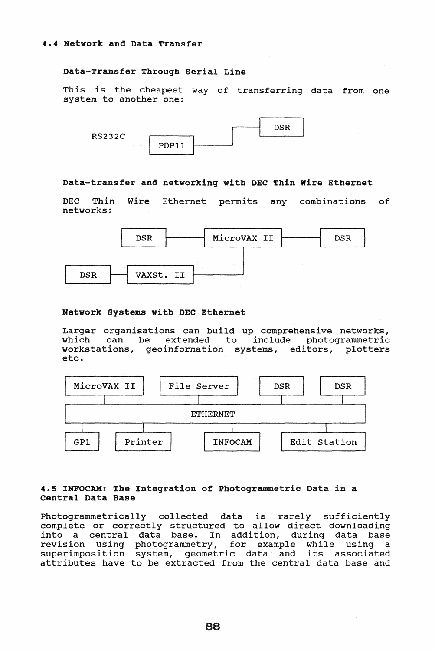# Data-Transfer Through Serial Line

This is the cheapest way of transferring data from one system to another one:



## Data-transfer and networking with DEC Thin Wire Ethernet

DEC Thin 'Wire Ethernet permits any combinations of networks:



### Network Systems with DEC Ethernet

Larger organisations can build up comprehensive networks,<br>which can be extended to include photogrammetric can be extended to include photogrammetric workstations, geoinformation systems, editors, plotters etc.



# 4.5 INFOCAM: The Integration of Photogrammetric Data in a Central Data Base

Photogrammetrically collected data is rarely sufficiently complete or correctly structured to allow direct downloading into a central data base. In addition, during data base revision using photogrammetry, for example while using a superimposition system, geometric data and its associated attributes have to be extracted from the central data base and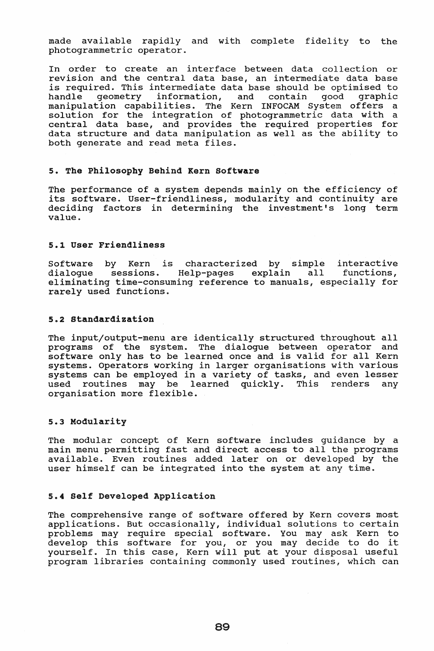made available rapidly and with complete fidelity to the photogrammetric operator.

In order to create an interface between data collection or revision and the central data base, an intermediate data base is required. This intermediate data base should be optimised to handle geometry information, and contain good graphic geometry information, and contain manipulation capabilities. The Kern INFOCAM System offers a solution for the integration of photogrammetric data with a central data base, and provides the required properties for data structure and data manipulation as well as the ability to both generate and read meta files.

# 5. The Philosophy Behind Kern Software

The performance of a system depends mainly on the efficiency of its software. User-friendliness, modularity and continuity are deciding factors in determining the investment's long term value.

#### 5.1 User Friendliness

Software by Kern is characterized by simple interactive dialogue sessions. Help-pages explain all eliminating time-consuming reference to manuals, especially for rarely used functions.

#### 5.2 Standardization

The input/output-menu are identically structured throughout all programs of the system. The dialogue between operator and software only has to be learned once and is valid for all Kern systems. Operators working in larger organisations with various systems can be employed in a variety of tasks, and even lesser used routines may be learned quickly. This renders any organisation more flexible.

### 5.3 Modularity

The modular concept of Kern software includes guidance by a main menu permitting fast and direct access to all the programs available. Even routines added later on or developed by the user himself can be integrated into the system at any time.

## 5.4 Self Developed Application

The comprehensive range of software offered by Kern covers most applications. But occasionally, individual solutions to certain problems may require special software. You may ask Kern to problems may require special software. You may ask kern to<br>develop this software for you, or you may decide to do it yourself. In this case, Kern will put at your disposal useful program libraries containing commonly used routines, which can